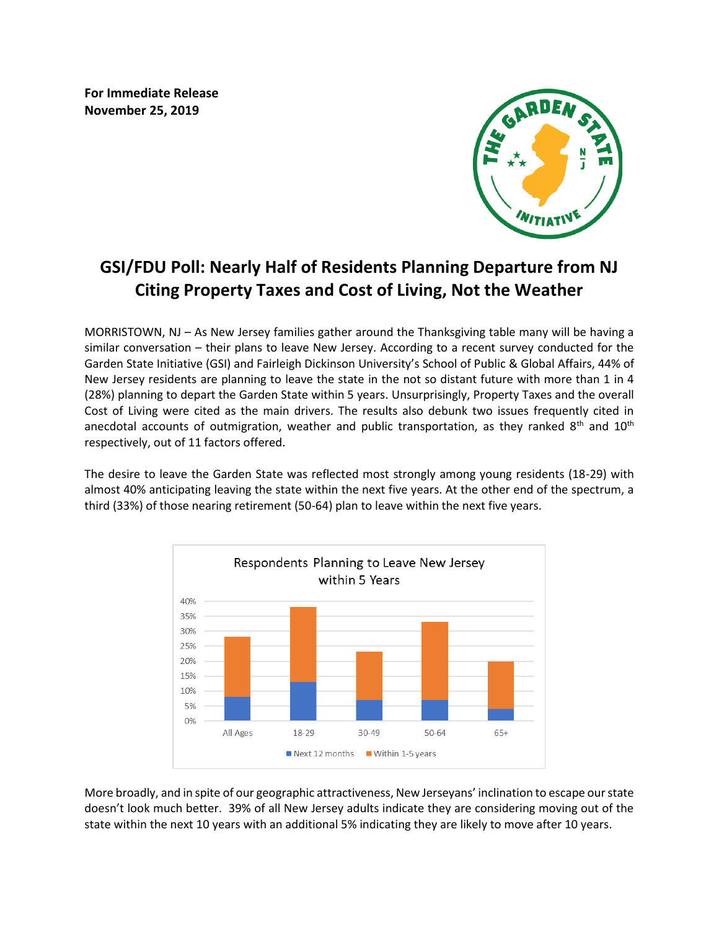**For Immediate Release November 25, 2019** 



# **GSI/FDU Poll: Nearly Half of Residents Planning Departure from NJ Citing Property Taxes and Cost of Living, Not the Weather**

MORRISTOWN, NJ – As New Jersey families gather around the Thanksgiving table many will be having a similar conversation – their plans to leave New Jersey. According to a recent survey conducted for the Garden State Initiative (GSI) and Fairleigh Dickinson University's School of Public & Global Affairs, 44% of New Jersey residents are planning to leave the state in the not so distant future with more than 1 in 4 (28%) planning to depart the Garden State within 5 years. Unsurprisingly, Property Taxes and the overall Cost of Living were cited as the main drivers. The results also debunk two issues frequently cited in anecdotal accounts of outmigration, weather and public transportation, as they ranked 8<sup>th</sup> and 10<sup>th</sup> respectively, out of 11 factors offered.

The desire to leave the Garden State was reflected most strongly among young residents (18-29) with almost 40% anticipating leaving the state within the next five years. At the other end of the spectrum, a third (33%) of those nearing retirement (50-64) plan to leave within the next five years.



More broadly, and in spite of our geographic attractiveness, New Jerseyans' inclination to escape our state doesn't look much better. 39% of all New Jersey adults indicate they are considering moving out of the state within the next 10 years with an additional 5% indicating they are likely to move after 10 years.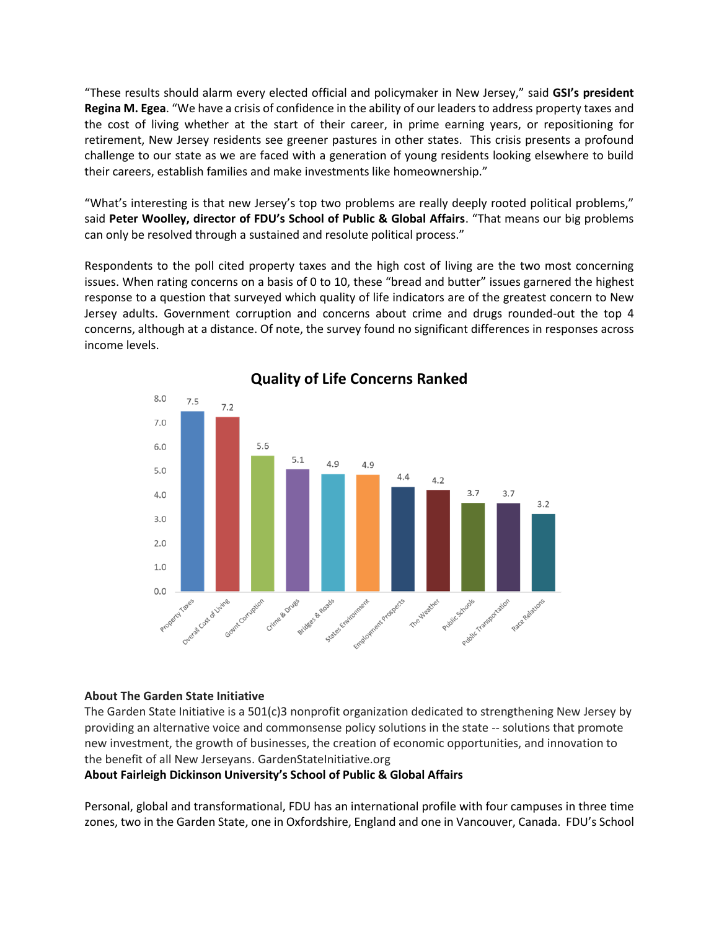"These results should alarm every elected official and policymaker in New Jersey," said **GSI's president Regina M. Egea**. "We have a crisis of confidence in the ability of our leaders to address property taxes and the cost of living whether at the start of their career, in prime earning years, or repositioning for retirement, New Jersey residents see greener pastures in other states. This crisis presents a profound challenge to our state as we are faced with a generation of young residents looking elsewhere to build their careers, establish families and make investments like homeownership."

"What's interesting is that new Jersey's top two problems are really deeply rooted political problems," said **Peter Woolley, director of FDU's School of Public & Global Affairs**. "That means our big problems can only be resolved through a sustained and resolute political process."

Respondents to the poll cited property taxes and the high cost of living are the two most concerning issues. When rating concerns on a basis of 0 to 10, these "bread and butter" issues garnered the highest response to a question that surveyed which quality of life indicators are of the greatest concern to New Jersey adults. Government corruption and concerns about crime and drugs rounded-out the top 4 concerns, although at a distance. Of note, the survey found no significant differences in responses across income levels.



# **Quality of Life Concerns Ranked**

## **About The Garden State Initiative**

The Garden State Initiative is a 501(c)3 nonprofit organization dedicated to strengthening New Jersey by providing an alternative voice and commonsense policy solutions in the state -- solutions that promote new investment, the growth of businesses, the creation of economic opportunities, and innovation to the benefit of all New Jerseyans. GardenStateInitiative.org

## **About Fairleigh Dickinson University's School of Public & Global Affairs**

Personal, global and transformational, FDU has an international profile with four campuses in three time zones, two in the Garden State, one in Oxfordshire, England and one in Vancouver, Canada. FDU's School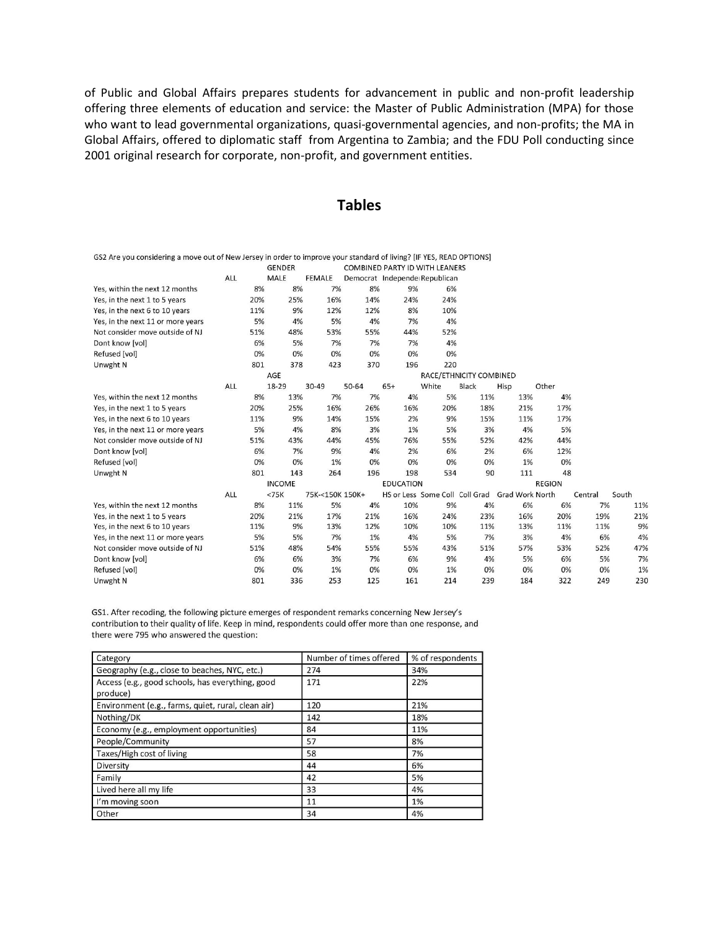of Public and Global Affairs prepares students for advancement in public and non-profit leadership offering three elements of education and service: the Master of Public Administration (MPA) for those who want to lead governmental organizations, quasi-governmental agencies, and non-profits; the MA in Global Affairs, offered to diplomatic staff from Argentina to Zambia; and the FDU Poll conducting since 2001 original research for corporate, non-profit, and government entities.

# **Tables**

| GS2 Are you considering a move out of New Jersey in order to improve your standard of living? [IF YES, READ OPTIONS] |            |     |               |                 |       |                  |                                       |                         |                        |               |         |       |
|----------------------------------------------------------------------------------------------------------------------|------------|-----|---------------|-----------------|-------|------------------|---------------------------------------|-------------------------|------------------------|---------------|---------|-------|
|                                                                                                                      |            |     | <b>GENDER</b> |                 |       |                  | <b>COMBINED PARTY ID WITH LEANERS</b> |                         |                        |               |         |       |
|                                                                                                                      | <b>ALL</b> |     | <b>MALE</b>   | <b>FEMALE</b>   |       |                  | Democrat Independe Republican         |                         |                        |               |         |       |
| Yes, within the next 12 months                                                                                       |            | 8%  | 8%            | 7%              | 8%    | 9%               | 6%                                    |                         |                        |               |         |       |
| Yes, in the next 1 to 5 years                                                                                        |            | 20% | 25%           | 16%             | 14%   | 24%              | 24%                                   |                         |                        |               |         |       |
| Yes, in the next 6 to 10 years                                                                                       |            | 11% | 9%            | 12%             | 12%   | 8%               | 10%                                   |                         |                        |               |         |       |
| Yes, in the next 11 or more years                                                                                    |            | 5%  | 4%            | 5%              | 4%    | 7%               | 4%                                    |                         |                        |               |         |       |
| Not consider move outside of NJ                                                                                      |            | 51% | 48%           | 53%             | 55%   | 44%              | 52%                                   |                         |                        |               |         |       |
| Dont know [vol]                                                                                                      |            | 6%  | 5%            | 7%              | 7%    | 7%               | 4%                                    |                         |                        |               |         |       |
| Refused [vol]                                                                                                        |            | 0%  | 0%            | 0%              | 0%    | 0%               | 0%                                    |                         |                        |               |         |       |
| Unwght N                                                                                                             |            | 801 | 378           | 423             | 370   | 196              | 220                                   |                         |                        |               |         |       |
|                                                                                                                      |            |     | AGE           |                 |       |                  |                                       | RACE/ETHNICITY COMBINED |                        |               |         |       |
|                                                                                                                      | ALL        |     | 18-29         | 30-49           | 50-64 | $65+$            | White                                 | <b>Black</b>            | Hisp                   | Other         |         |       |
| Yes, within the next 12 months                                                                                       |            | 8%  | 13%           | 7%              | 7%    | 4%               | 5%                                    | 11%                     | 13%                    | 4%            |         |       |
| Yes, in the next 1 to 5 years                                                                                        |            | 20% | 25%           | 16%             | 26%   | 16%              | 20%                                   | 18%                     | 21%                    | 17%           |         |       |
| Yes, in the next 6 to 10 years                                                                                       |            | 11% | 9%            | 14%             | 15%   | 2%               | 9%                                    | 15%                     | 11%                    | 17%           |         |       |
| Yes, in the next 11 or more years                                                                                    |            | 5%  | 4%            | 8%              | 3%    | 1%               | 5%                                    | 3%                      | 4%                     | 5%            |         |       |
| Not consider move outside of NJ                                                                                      |            | 51% | 43%           | 44%             | 45%   | 76%              | 55%                                   | 52%                     | 42%                    | 44%           |         |       |
| Dont know [vol]                                                                                                      |            | 6%  | 7%            | 9%              | 4%    | 2%               | 6%                                    | 2%                      | 6%                     | 12%           |         |       |
| Refused [vol]                                                                                                        |            | 0%  | 0%            | 1%              | 0%    | 0%               | 0%                                    | 0%                      | 1%                     | 0%            |         |       |
| Unwght N                                                                                                             |            | 801 | 143           | 264             | 196   | 198              | 534                                   | 90                      | 111                    | 48            |         |       |
|                                                                                                                      |            |     | <b>INCOME</b> |                 |       | <b>EDUCATION</b> |                                       |                         |                        | <b>REGION</b> |         |       |
|                                                                                                                      | ALL        |     | <75K          | 75K-<150K 150K+ |       |                  | HS or Less Some Coll Coll Grad        |                         | <b>Grad Work North</b> |               | Central | South |
| Yes, within the next 12 months                                                                                       |            | 8%  | 11%           | 5%              | 4%    | 10%              | 9%                                    | 4%                      | 6%                     | 6%            | 7%      | 11%   |
| Yes, in the next 1 to 5 years                                                                                        |            | 20% | 21%           | 17%             | 21%   | 16%              | 24%                                   | 23%                     | 16%                    | 20%           | 19%     | 21%   |
| Yes, in the next 6 to 10 years                                                                                       |            | 11% | 9%            | 13%             | 12%   | 10%              | 10%                                   | 11%                     | 13%                    | 11%           | 11%     | 9%    |
| Yes, in the next 11 or more years                                                                                    |            | 5%  | 5%            | 7%              | 1%    | 4%               | 5%                                    | 7%                      | 3%                     | 4%            | 6%      | 4%    |
| Not consider move outside of NJ                                                                                      |            | 51% | 48%           | 54%             | 55%   | 55%              | 43%                                   | 51%                     | 57%                    | 53%           | 52%     | 47%   |
| Dont know [vol]                                                                                                      |            | 6%  | 6%            | 3%              | 7%    | 6%               | 9%                                    | 4%                      | 5%                     | 6%            | 5%      | 7%    |
| Refused [vol]                                                                                                        |            | 0%  | 0%            | 1%              | 0%    | 0%               | 1%                                    | 0%                      | 0%                     | 0%            | 0%      | 1%    |
| Unwght N                                                                                                             |            | 801 | 336           | 253             | 125   | 161              | 214                                   | 239                     | 184                    | 322           | 249     | 230   |

GS1. After recoding, the following picture emerges of respondent remarks concerning New Jersey's contribution to their quality of life. Keep in mind, respondents could offer more than one response, and there were 795 who answered the question:

| Category                                                     | Number of times offered | % of respondents |
|--------------------------------------------------------------|-------------------------|------------------|
| Geography (e.g., close to beaches, NYC, etc.)                | 274                     | 34%              |
| Access (e.g., good schools, has everything, good<br>produce) | 171                     | 22%              |
| Environment (e.g., farms, quiet, rural, clean air)           | 120                     | 21%              |
| Nothing/DK                                                   | 142                     | 18%              |
| Economy (e.g., employment opportunities)                     | 84                      | 11%              |
| People/Community                                             | 57                      | 8%               |
| Taxes/High cost of living                                    | 58                      | 7%               |
| Diversity                                                    | 44                      | 6%               |
| Family                                                       | 42                      | 5%               |
| Lived here all my life                                       | 33                      | 4%               |
| I'm moving soon                                              | 11                      | 1%               |
| Other                                                        | 34                      | 4%               |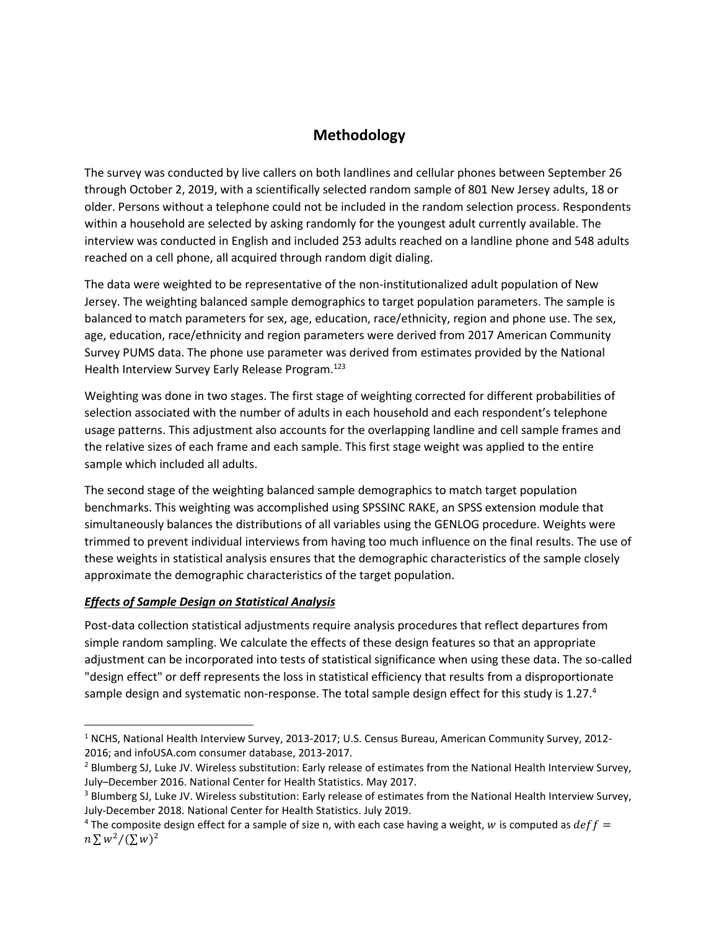# **Methodology**

The survey was conducted by live callers on both landlines and cellular phones between September 26 through October 2, 2019, with a scientifically selected random sample of 801 New Jersey adults, 18 or older. Persons without a telephone could not be included in the random selection process. Respondents within a household are selected by asking randomly for the youngest adult currently available. The interview was conducted in English and included 253 adults reached on a landline phone and 548 adults reached on a cell phone, all acquired through random digit dialing.

The data were weighted to be representative of the non-institutionalized adult population of New Jersey. The weighting balanced sample demographics to target population parameters. The sample is balanced to match parameters for sex, age, education, race/ethnicity, region and phone use. The sex, age, education, race/ethnicity and region parameters were derived from 2017 American Community Survey PUMS data. The phone use parameter was derived from estimates provided by the National Health Interview Survey Early Release Program.<sup>123</sup>

Weighting was done in two stages. The first stage of weighting corrected for different probabilities of selection associated with the number of adults in each household and each respondent's telephone usage patterns. This adjustment also accounts for the overlapping landline and cell sample frames and the relative sizes of each frame and each sample. This first stage weight was applied to the entire sample which included all adults.

The second stage of the weighting balanced sample demographics to match target population benchmarks. This weighting was accomplished using SPSSINC RAKE, an SPSS extension module that simultaneously balances the distributions of all variables using the GENLOG procedure. Weights were trimmed to prevent individual interviews from having too much influence on the final results. The use of these weights in statistical analysis ensures that the demographic characteristics of the sample closely approximate the demographic characteristics of the target population.

## *Effects of Sample Design on Statistical Analysis*

Post-data collection statistical adjustments require analysis procedures that reflect departures from simple random sampling. We calculate the effects of these design features so that an appropriate adjustment can be incorporated into tests of statistical significance when using these data. The so-called "design effect" or deff represents the loss in statistical efficiency that results from a disproportionate sample design and systematic non-response. The total sample design effect for this study is 1.27.<sup>4</sup>

<sup>&</sup>lt;sup>1</sup> NCHS, National Health Interview Survey, 2013-2017; U.S. Census Bureau, American Community Survey, 2012-2016; and infoUSA.com consumer database, 2013-2017.

<sup>&</sup>lt;sup>2</sup> Blumberg SJ, Luke JV. Wireless substitution: Early release of estimates from the National Health Interview Survey, July–December 2016. National Center for Health Statistics. May 2017.

<sup>&</sup>lt;sup>3</sup> Blumberg SJ, Luke JV. Wireless substitution: Early release of estimates from the National Health Interview Survey, July-December 2018. National Center for Health Statistics. July 2019.

<sup>&</sup>lt;sup>4</sup> The composite design effect for a sample of size n, with each case having a weight, w is computed as  $deff =$  $n \sum w^2/(\sum w)^2$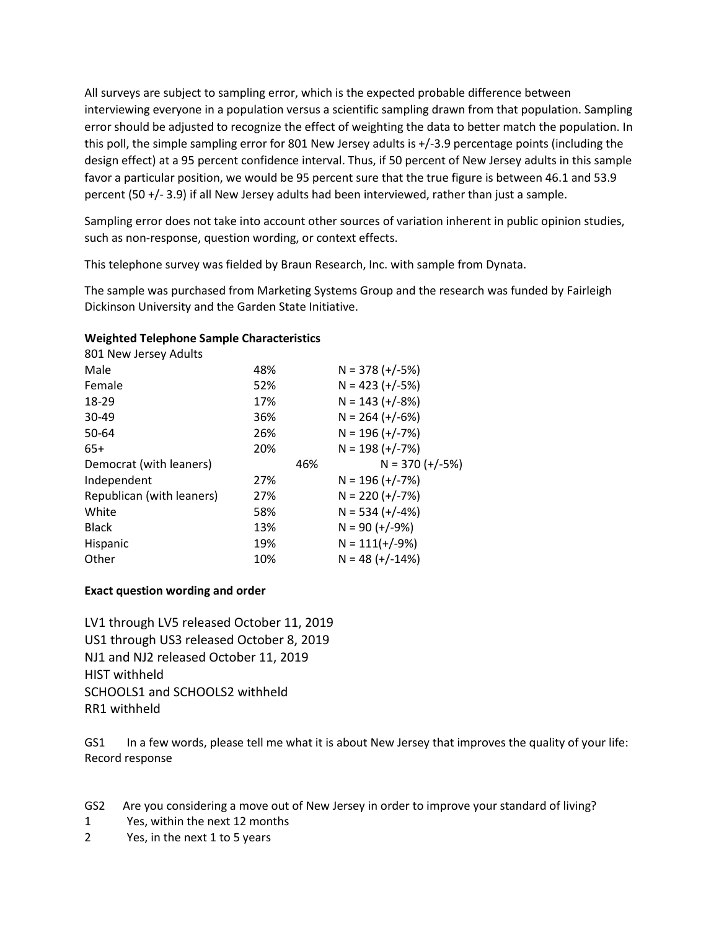All surveys are subject to sampling error, which is the expected probable difference between interviewing everyone in a population versus a scientific sampling drawn from that population. Sampling error should be adjusted to recognize the effect of weighting the data to better match the population. In this poll, the simple sampling error for 801 New Jersey adults is +/-3.9 percentage points (including the design effect) at a 95 percent confidence interval. Thus, if 50 percent of New Jersey adults in this sample favor a particular position, we would be 95 percent sure that the true figure is between 46.1 and 53.9 percent (50 +/- 3.9) if all New Jersey adults had been interviewed, rather than just a sample.

Sampling error does not take into account other sources of variation inherent in public opinion studies, such as non-response, question wording, or context effects.

This telephone survey was fielded by Braun Research, Inc. with sample from Dynata.

The sample was purchased from Marketing Systems Group and the research was funded by Fairleigh Dickinson University and the Garden State Initiative.

## **Weighted Telephone Sample Characteristics**

| 801 New Jersey Adults     |     |     |                   |
|---------------------------|-----|-----|-------------------|
| Male                      | 48% |     | $N = 378 (+/-5%)$ |
| Female                    | 52% |     | $N = 423 (+/-5%)$ |
| 18-29                     | 17% |     | $N = 143 (+/-8%)$ |
| 30-49                     | 36% |     | $N = 264 (+/-6%)$ |
| 50-64                     | 26% |     | $N = 196 (+/-7%)$ |
| $65+$                     | 20% |     | $N = 198 (+/-7%)$ |
|                           |     |     |                   |
| Democrat (with leaners)   |     | 46% | $N = 370 (+/-5%)$ |
| Independent               | 27% |     | $N = 196 (+/-7%)$ |
| Republican (with leaners) | 27% |     | $N = 220 (+/-7%)$ |
| White                     | 58% |     | $N = 534 (+/-4%)$ |
| <b>Black</b>              | 13% |     | $N = 90 (+/-9%)$  |
| Hispanic                  | 19% |     | $N = 111(+/-9%)$  |

## **Exact question wording and order**

LV1 through LV5 released October 11, 2019 US1 through US3 released October 8, 2019 NJ1 and NJ2 released October 11, 2019 HIST withheld SCHOOLS1 and SCHOOLS2 withheld RR1 withheld

GS1 In a few words, please tell me what it is about New Jersey that improves the quality of your life: Record response

- GS2 Are you considering a move out of New Jersey in order to improve your standard of living?
- 1 Yes, within the next 12 months
- 2 Yes, in the next 1 to 5 years